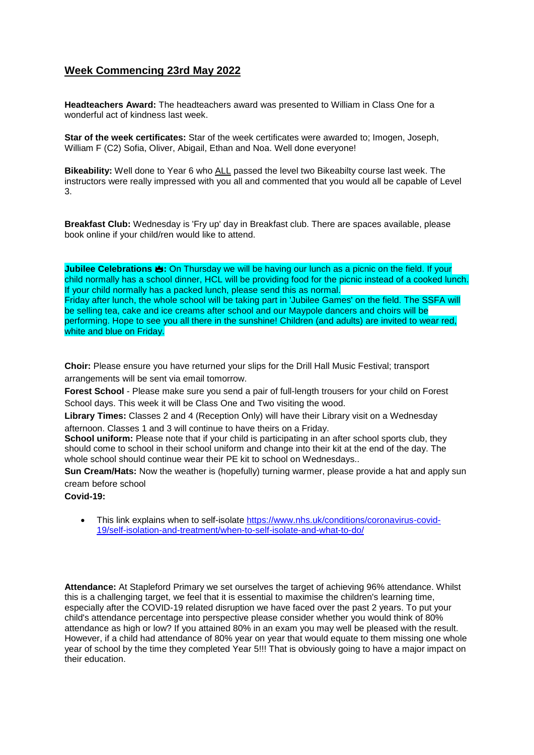## **Week Commencing 23rd May 2022**

**Headteachers Award:** The headteachers award was presented to William in Class One for a wonderful act of kindness last week.

**Star of the week certificates:** Star of the week certificates were awarded to; Imogen, Joseph, William F (C2) Sofia, Oliver, Abigail, Ethan and Noa. Well done everyone!

**Bikeability:** Well done to Year 6 who ALL passed the level two Bikeabilty course last week. The instructors were really impressed with you all and commented that you would all be capable of Level 3.

**Breakfast Club:** Wednesday is 'Fry up' day in Breakfast club. There are spaces available, please book online if your child/ren would like to attend.

**Jubilee Celebrations :** On Thursday we will be having our lunch as a picnic on the field. If your child normally has a school dinner, HCL will be providing food for the picnic instead of a cooked lunch. If your child normally has a packed lunch, please send this as normal. Friday after lunch, the whole school will be taking part in 'Jubilee Games' on the field. The SSFA will be selling tea, cake and ice creams after school and our Maypole dancers and choirs will be performing. Hope to see you all there in the sunshine! Children (and adults) are invited to wear red, white and blue on Friday.

**Choir:** Please ensure you have returned your slips for the Drill Hall Music Festival; transport arrangements will be sent via email tomorrow.

**Forest School** - Please make sure you send a pair of full-length trousers for your child on Forest School days. This week it will be Class One and Two visiting the wood.

**Library Times:** Classes 2 and 4 (Reception Only) will have their Library visit on a Wednesday afternoon. Classes 1 and 3 will continue to have theirs on a Friday.

**School uniform:** Please note that if your child is participating in an after school sports club, they should come to school in their school uniform and change into their kit at the end of the day. The whole school should continue wear their PE kit to school on Wednesdays..

**Sun Cream/Hats:** Now the weather is (hopefully) turning warmer, please provide a hat and apply sun cream before school

**Covid-19:** 

• This link explains when to self-isolate [https://www.nhs.uk/conditions/coronavirus-covid-](https://www.nhs.uk/conditions/coronavirus-covid-19/self-isolation-and-treatment/when-to-self-isolate-and-what-to-do/)[19/self-isolation-and-treatment/when-to-self-isolate-and-what-to-do/](https://www.nhs.uk/conditions/coronavirus-covid-19/self-isolation-and-treatment/when-to-self-isolate-and-what-to-do/)

**Attendance:** At Stapleford Primary we set ourselves the target of achieving 96% attendance. Whilst this is a challenging target, we feel that it is essential to maximise the children's learning time, especially after the COVID-19 related disruption we have faced over the past 2 years. To put your child's attendance percentage into perspective please consider whether you would think of 80% attendance as high or low? If you attained 80% in an exam you may well be pleased with the result. However, if a child had attendance of 80% year on year that would equate to them missing one whole year of school by the time they completed Year 5!!! That is obviously going to have a major impact on their education.